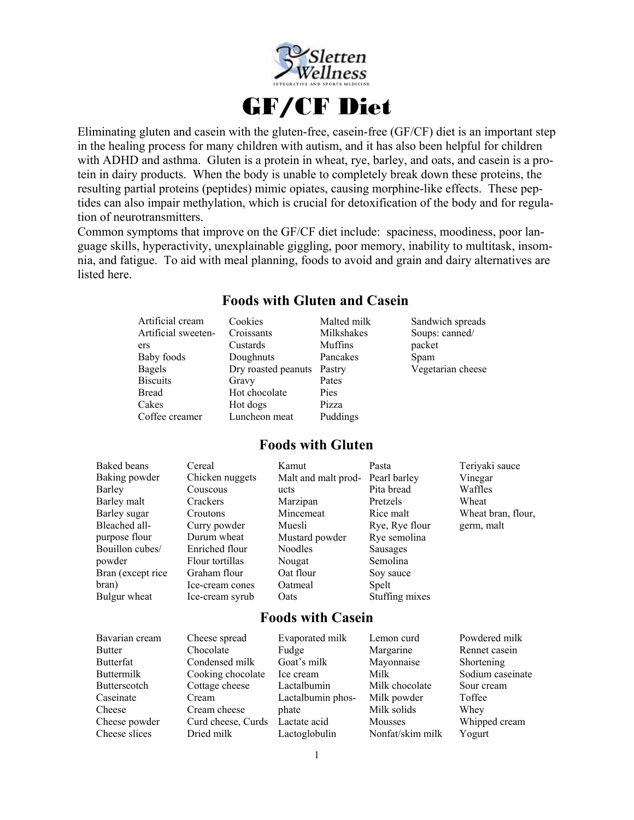

Eliminating gluten and casein with the gluten-free, casein-free (GF/CF) diet is an important step in the healing process for many children with autism, and it has also been helpful for children with ADHD and asthma. Gluten is a protein in wheat, rye, barley, and oats, and casein is a protein in dairy products. When the body is unable to completely break down these proteins, the resulting partial proteins (peptides) mimic opiates, causing morphine-like effects. These peptides can also impair methylation, which is crucial for detoxification of the body and for regulation of neurotransmitters.

Common symptoms that improve on the GF/CF diet include: spaciness, moodiness, poor language skills, hyperactivity, unexplainable giggling, poor memory, inability to multitask, insomnia, and fatigue. To aid with meal planning, foods to avoid and grain and dairy alternatives are listed here.

### **Foods with Gluten and Casein**  Artificial cream Cookies Croissants Malted milk Milkshakes Sandwich spreads

| AHIILIGI UUTAIII    | COUNICS             | ічанся шінк | Daliuwich Spitaus |
|---------------------|---------------------|-------------|-------------------|
| Artificial sweeten- | Croissants          | Milkshakes  | Soups: canned/    |
| ers                 | Custards            | Muffins     | packet            |
| Baby foods          | Doughnuts           | Pancakes    | Spam              |
| Bagels              | Dry roasted peanuts | Pastry      | Vegetarian cheese |
| <b>Biscuits</b>     | Gravy               | Pates       |                   |
| <b>Bread</b>        | Hot chocolate       | Pies        |                   |
| Cakes               | Hot dogs            | Pizza       |                   |
| Coffee creamer      | Luncheon meat       | Puddings    |                   |

### **Foods with Gluten**

| Vinegar<br>Waffles |
|--------------------|
|                    |
|                    |
| Wheat              |
| Wheat bran, flour, |
| germ, malt         |
|                    |
|                    |
|                    |
|                    |
|                    |
|                    |
|                    |

### **Foods with Casein**

| Bavarian cream    | Cheese spread      | Evaporated milk   | Lemon curd       | Powdered milk    |
|-------------------|--------------------|-------------------|------------------|------------------|
| <b>Butter</b>     | Chocolate          | Fudge             | Margarine        | Rennet casein    |
| <b>Butterfat</b>  | Condensed milk     | Goat's milk       | Mayonnaise       | Shortening       |
| <b>Buttermilk</b> | Cooking chocolate  | Ice cream         | Milk             | Sodium caseinate |
| Butterscotch      | Cottage cheese     | Lactalbumin       | Milk chocolate   | Sour cream       |
| Caseinate         | Cream              | Lactalbumin phos- | Milk powder      | Toffee           |
| Cheese            | Cream cheese       | phate             | Milk solids      | Whey             |
| Cheese powder     | Curd cheese, Curds | Lactate acid      | Mousses          | Whipped cream    |
| Cheese slices     | Dried milk         | Lactoglobulin     | Nonfat/skim milk | Yogurt           |